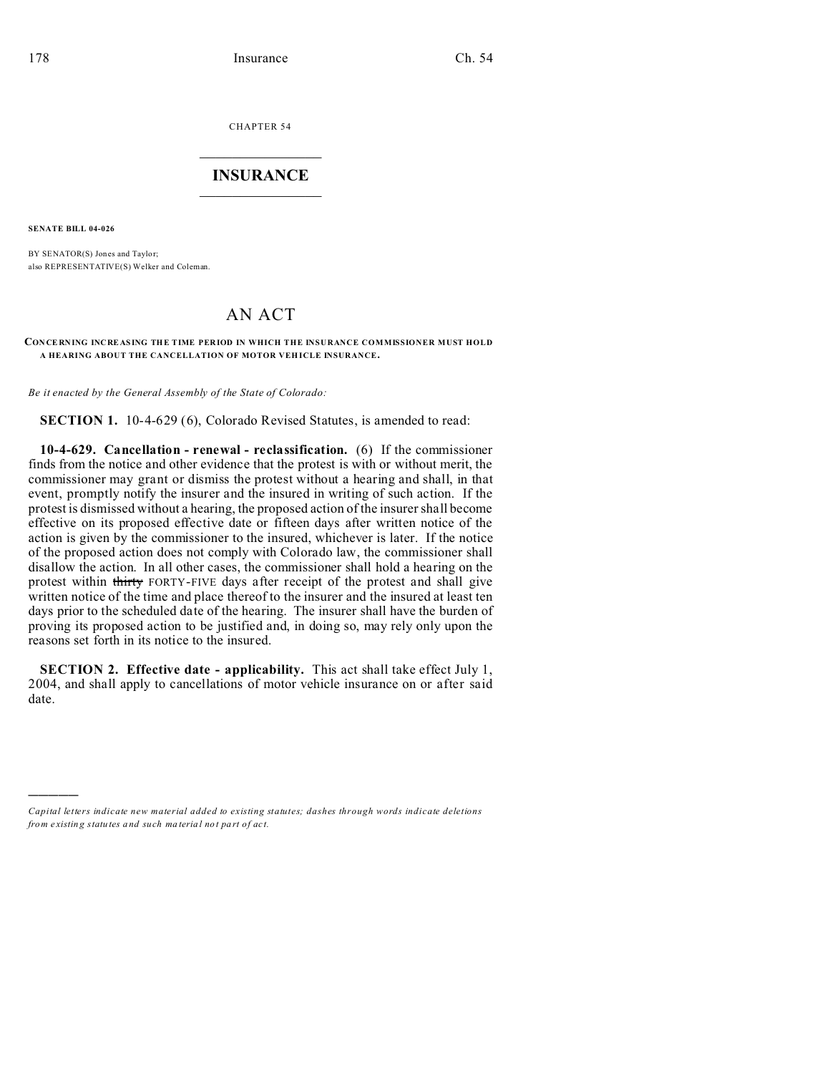CHAPTER 54  $\overline{\phantom{a}}$  , where  $\overline{\phantom{a}}$ 

## **INSURANCE**  $\_$   $\_$   $\_$   $\_$   $\_$   $\_$   $\_$   $\_$

**SENATE BILL 04-026**

)))))

BY SENATOR(S) Jones and Taylor; also REPRESENTATIVE(S) Welker and Coleman.

## AN ACT

## **CON CE RNING INCRE AS ING THE TIME PER IOD IN WHICH THE INSURANCE COMMISSIONER MUST HOLD A HEARING ABOUT THE CANCELLATION OF MOTOR VEH ICLE INSURANCE.**

*Be it enacted by the General Assembly of the State of Colorado:*

**SECTION 1.** 10-4-629 (6), Colorado Revised Statutes, is amended to read:

**10-4-629. Cancellation - renewal - reclassification.** (6) If the commissioner finds from the notice and other evidence that the protest is with or without merit, the commissioner may grant or dismiss the protest without a hearing and shall, in that event, promptly notify the insurer and the insured in writing of such action. If the protest is dismissed without a hearing, the proposed action of the insurer shall become effective on its proposed effective date or fifteen days after written notice of the action is given by the commissioner to the insured, whichever is later. If the notice of the proposed action does not comply with Colorado law, the commissioner shall disallow the action. In all other cases, the commissioner shall hold a hearing on the protest within thirty FORTY-FIVE days after receipt of the protest and shall give written notice of the time and place thereof to the insurer and the insured at least ten days prior to the scheduled date of the hearing. The insurer shall have the burden of proving its proposed action to be justified and, in doing so, may rely only upon the reasons set forth in its notice to the insured.

**SECTION 2. Effective date - applicability.** This act shall take effect July 1, 2004, and shall apply to cancellations of motor vehicle insurance on or after said date.

*Capital letters indicate new material added to existing statutes; dashes through words indicate deletions from e xistin g statu tes a nd such ma teria l no t pa rt of ac t.*